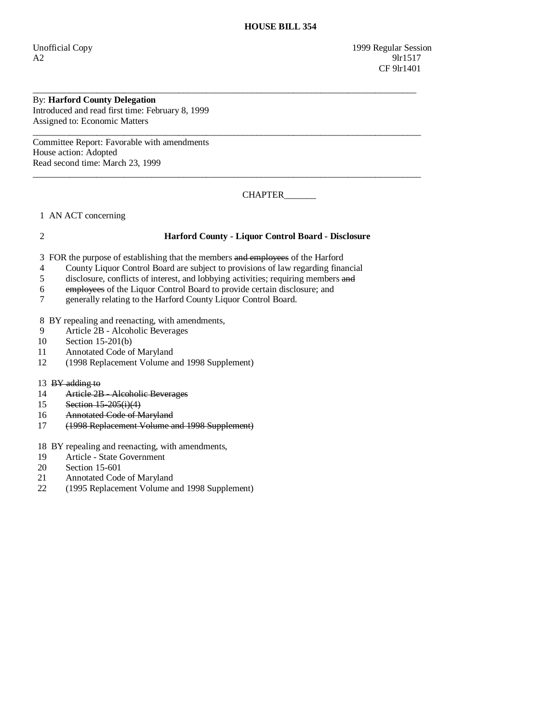Unofficial Copy 1999 Regular Session  $A2$  9lr1517 CF 9lr1401

## By: **Harford County Delegation**

Introduced and read first time: February 8, 1999 Assigned to: Economic Matters

Committee Report: Favorable with amendments House action: Adopted Read second time: March 23, 1999

CHAPTER\_\_\_\_\_\_\_

1 AN ACT concerning

## 2 **Harford County - Liquor Control Board - Disclosure**

3 FOR the purpose of establishing that the members and employees of the Harford

4 County Liquor Control Board are subject to provisions of law regarding financial

\_\_\_\_\_\_\_\_\_\_\_\_\_\_\_\_\_\_\_\_\_\_\_\_\_\_\_\_\_\_\_\_\_\_\_\_\_\_\_\_\_\_\_\_\_\_\_\_\_\_\_\_\_\_\_\_\_\_\_\_\_\_\_\_\_\_\_\_\_\_\_\_\_\_\_\_\_\_\_\_\_\_\_\_

 $\overline{\phantom{a}}$  ,  $\overline{\phantom{a}}$  ,  $\overline{\phantom{a}}$  ,  $\overline{\phantom{a}}$  ,  $\overline{\phantom{a}}$  ,  $\overline{\phantom{a}}$  ,  $\overline{\phantom{a}}$  ,  $\overline{\phantom{a}}$  ,  $\overline{\phantom{a}}$  ,  $\overline{\phantom{a}}$  ,  $\overline{\phantom{a}}$  ,  $\overline{\phantom{a}}$  ,  $\overline{\phantom{a}}$  ,  $\overline{\phantom{a}}$  ,  $\overline{\phantom{a}}$  ,  $\overline{\phantom{a}}$ 

 $\overline{\phantom{a}}$  ,  $\overline{\phantom{a}}$  ,  $\overline{\phantom{a}}$  ,  $\overline{\phantom{a}}$  ,  $\overline{\phantom{a}}$  ,  $\overline{\phantom{a}}$  ,  $\overline{\phantom{a}}$  ,  $\overline{\phantom{a}}$  ,  $\overline{\phantom{a}}$  ,  $\overline{\phantom{a}}$  ,  $\overline{\phantom{a}}$  ,  $\overline{\phantom{a}}$  ,  $\overline{\phantom{a}}$  ,  $\overline{\phantom{a}}$  ,  $\overline{\phantom{a}}$  ,  $\overline{\phantom{a}}$ 

- 5 disclosure, conflicts of interest, and lobbying activities; requiring members and
- 6 employees of the Liquor Control Board to provide certain disclosure; and
- 7 generally relating to the Harford County Liquor Control Board.

8 BY repealing and reenacting, with amendments,

- 9 Article 2B Alcoholic Beverages<br>10 Section 15-201(b)
- Section 15-201(b)
- 11 Annotated Code of Maryland
- 12 (1998 Replacement Volume and 1998 Supplement)
- 13 BY adding to
- 14 Article 2B Alcoholic Beverages
- 15 Section 15-205(i)(4)
- 16 Annotated Code of Maryland
- 17 (1998 Replacement Volume and 1998 Supplement)

18 BY repealing and reenacting, with amendments,

- 19 Article State Government<br>20 Section 15-601
- 20 Section 15-601<br>21 Annotated Code
- Annotated Code of Maryland
- 22 (1995 Replacement Volume and 1998 Supplement)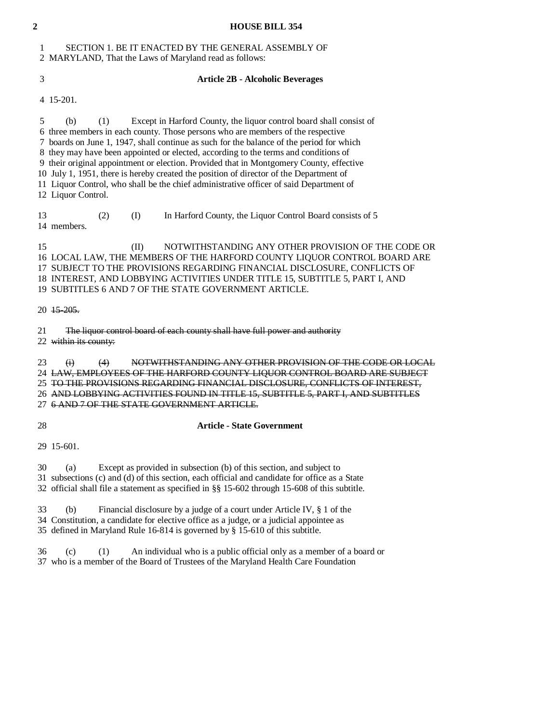| $\overline{2}$ | <b>HOUSE BILL 354</b>                                                                                                                                                                                                                                                                                                                                                                                                                                                                                                                                                                                                                                        |
|----------------|--------------------------------------------------------------------------------------------------------------------------------------------------------------------------------------------------------------------------------------------------------------------------------------------------------------------------------------------------------------------------------------------------------------------------------------------------------------------------------------------------------------------------------------------------------------------------------------------------------------------------------------------------------------|
| 1              | SECTION 1. BE IT ENACTED BY THE GENERAL ASSEMBLY OF<br>2 MARYLAND, That the Laws of Maryland read as follows:                                                                                                                                                                                                                                                                                                                                                                                                                                                                                                                                                |
| 3              | <b>Article 2B - Alcoholic Beverages</b>                                                                                                                                                                                                                                                                                                                                                                                                                                                                                                                                                                                                                      |
|                | 4 15-201.                                                                                                                                                                                                                                                                                                                                                                                                                                                                                                                                                                                                                                                    |
| 5              | Except in Harford County, the liquor control board shall consist of<br>(b)<br>(1)<br>6 three members in each county. Those persons who are members of the respective<br>7 boards on June 1, 1947, shall continue as such for the balance of the period for which<br>8 they may have been appointed or elected, according to the terms and conditions of<br>9 their original appointment or election. Provided that in Montgomery County, effective<br>10 July 1, 1951, there is hereby created the position of director of the Department of<br>11 Liquor Control, who shall be the chief administrative officer of said Department of<br>12 Liquor Control. |
| 13             | (2)<br>(I)<br>In Harford County, the Liquor Control Board consists of 5<br>14 members.                                                                                                                                                                                                                                                                                                                                                                                                                                                                                                                                                                       |
| 15             | (II)<br>NOTWITHSTANDING ANY OTHER PROVISION OF THE CODE OR<br>16 LOCAL LAW, THE MEMBERS OF THE HARFORD COUNTY LIQUOR CONTROL BOARD ARE<br>17 SUBJECT TO THE PROVISIONS REGARDING FINANCIAL DISCLOSURE, CONFLICTS OF<br>18 INTEREST, AND LOBBYING ACTIVITIES UNDER TITLE 15, SUBTITLE 5, PART I, AND<br>19 SUBTITLES 6 AND 7 OF THE STATE GOVERNMENT ARTICLE.                                                                                                                                                                                                                                                                                                 |
|                | 20 15-205.                                                                                                                                                                                                                                                                                                                                                                                                                                                                                                                                                                                                                                                   |
| 21             | The liquor control board of each county shall have full power and authority<br>22 within its county:                                                                                                                                                                                                                                                                                                                                                                                                                                                                                                                                                         |
| 23             | NOTWITHSTANDING ANY OTHER PROVISION OF THE CODE OR LOCAL<br>$\ddot{a}$<br>(4)<br>24 LAW, EMPLOYEES OF THE HARFORD COUNTY LIQUOR CONTROL BOARD ARE SUBJECT<br>25 TO THE PROVISIONS REGARDING FINANCIAL DISCLOSURE, CONFLICTS OF INTEREST,<br>26 AND LOBBYING ACTIVITIES FOUND IN TITLE 15, SUBTITLE 5, PART I, AND SUBTITLES<br>27 6 AND 7 OF THE STATE GOVERNMENT ARTICLE.                                                                                                                                                                                                                                                                                   |
| 28             | <b>Article - State Government</b>                                                                                                                                                                                                                                                                                                                                                                                                                                                                                                                                                                                                                            |
|                | 29 15-601.                                                                                                                                                                                                                                                                                                                                                                                                                                                                                                                                                                                                                                                   |

 30 (a) Except as provided in subsection (b) of this section, and subject to 31 subsections (c) and (d) of this section, each official and candidate for office as a State 32 official shall file a statement as specified in §§ 15-602 through 15-608 of this subtitle.

 33 (b) Financial disclosure by a judge of a court under Article IV, § 1 of the 34 Constitution, a candidate for elective office as a judge, or a judicial appointee as 35 defined in Maryland Rule 16-814 is governed by § 15-610 of this subtitle.

 36 (c) (1) An individual who is a public official only as a member of a board or 37 who is a member of the Board of Trustees of the Maryland Health Care Foundation